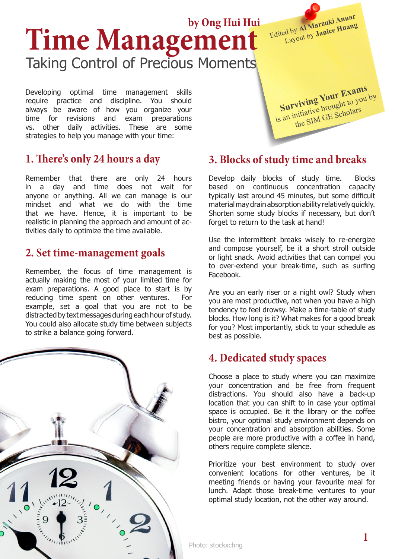# **Time Management** Taking Control of Precious Moments **by Ong Hui Hui**

Developing optimal time management skills require practice and discipline. You should always be aware of how you organize your time for revisions and exam preparations vs. other daily activities. These are some strategies to help you manage with your time:

## **1. There's only 24 hours a day**

Remember that there are only 24 hours in a day and time does not wait for anyone or anything. All we can manage is our mindset and what we do with the time that we have. Hence, it is important to be realistic in planning the approach and amount of activities daily to optimize the time available.

#### **2. Set time-management goals**

Remember, the focus of time management is actually making the most of your limited time for exam preparations. A good place to start is by reducing time spent on other ventures. For example, set a goal that you are not to be distracted by text messages during each hour of study. You could also allocate study time between subjects to strike a balance going forward.



# **3. Blocks of study time and breaks**

Develop daily blocks of study time. Blocks based on continuous concentration capacity typically last around 45 minutes, but some difficult material may drain absorption ability relatively quickly. Shorten some study blocks if necessary, but don't forget to return to the task at hand!

Use the intermittent breaks wisely to re-energize and compose yourself, be it a short stroll outside or light snack. Avoid activities that can compel you to over-extend your break-time, such as surfing Facebook.

Are you an early riser or a night owl? Study when you are most productive, not when you have a high tendency to feel drowsy. Make a time-table of study blocks. How long is it? What makes for a good break for you? Most importantly, stick to your schedule as best as possible.

### **4. Dedicated study spaces**

Choose a place to study where you can maximize your concentration and be free from frequent distractions. You should also have a back-up location that you can shift to in case your optimal space is occupied. Be it the library or the coffee bistro, your optimal study environment depends on your concentration and absorption abilities. Some people are more productive with a coffee in hand, others require complete silence.

Prioritize your best environment to study over convenient locations for other ventures, be it meeting friends or having your favourite meal for lunch. Adapt those break-time ventures to your optimal study location, not the other way around.

**Surviving Your Exams** is an initiative brought to you by the SIM GE Scholars